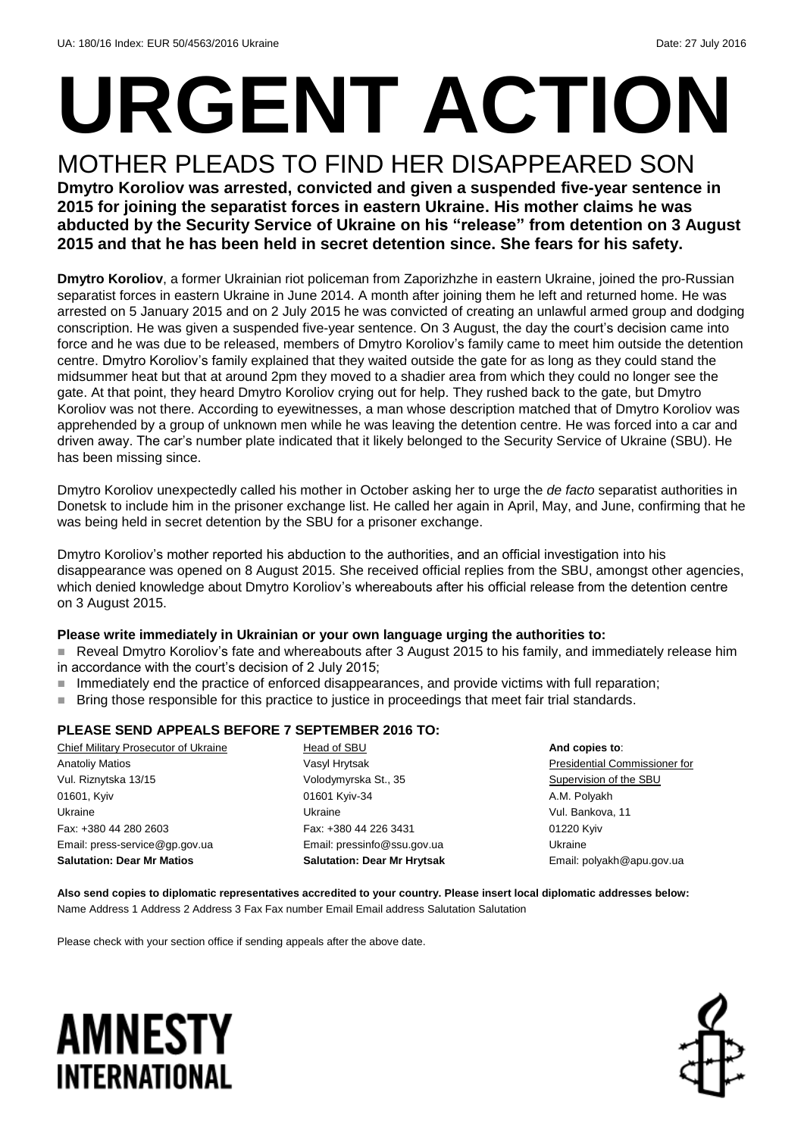# **URGENT ACTION** MOTHER PLEADS TO FIND HER DISAPPEARED SON

### **Dmytro Koroliov was arrested, convicted and given a suspended five-year sentence in 2015 for joining the separatist forces in eastern Ukraine. His mother claims he was abducted by the Security Service of Ukraine on his "release" from detention on 3 August 2015 and that he has been held in secret detention since. She fears for his safety.**

**Dmytro Koroliov**, a former Ukrainian riot policeman from Zaporizhzhe in eastern Ukraine, joined the pro-Russian separatist forces in eastern Ukraine in June 2014. A month after joining them he left and returned home. He was arrested on 5 January 2015 and on 2 July 2015 he was convicted of creating an unlawful armed group and dodging conscription. He was given a suspended five-year sentence. On 3 August, the day the court's decision came into force and he was due to be released, members of Dmytro Koroliov's family came to meet him outside the detention centre. Dmytro Koroliov's family explained that they waited outside the gate for as long as they could stand the midsummer heat but that at around 2pm they moved to a shadier area from which they could no longer see the gate. At that point, they heard Dmytro Koroliov crying out for help. They rushed back to the gate, but Dmytro Koroliov was not there. According to eyewitnesses, a man whose description matched that of Dmytro Koroliov was apprehended by a group of unknown men while he was leaving the detention centre. He was forced into a car and driven away. The car's number plate indicated that it likely belonged to the Security Service of Ukraine (SBU). He has been missing since.

Dmytro Koroliov unexpectedly called his mother in October asking her to urge the *de facto* separatist authorities in Donetsk to include him in the prisoner exchange list. He called her again in April, May, and June, confirming that he was being held in secret detention by the SBU for a prisoner exchange.

Dmytro Koroliov's mother reported his abduction to the authorities, and an official investigation into his disappearance was opened on 8 August 2015. She received official replies from the SBU, amongst other agencies, which denied knowledge about Dmytro Koroliov's whereabouts after his official release from the detention centre on 3 August 2015.

### **Please write immediately in Ukrainian or your own language urging the authorities to:**

- Reveal Dmytro Koroliov's fate and whereabouts after 3 August 2015 to his family, and immediately release him in accordance with the court's decision of 2 July 2015;
- Immediately end the practice of enforced disappearances, and provide victims with full reparation;
- **Bring those responsible for this practice to justice in proceedings that meet fair trial standards.**

### **PLEASE SEND APPEALS BEFORE 7 SEPTEMBER 2016 TO:**

| Chief Military Prosecutor of Ukraine | Head of SBU                        | And copies to:                |
|--------------------------------------|------------------------------------|-------------------------------|
| <b>Anatoliy Matios</b>               | Vasyl Hrytsak                      | Presidential Commissioner for |
| Vul. Riznytska 13/15                 | Volodymyrska St., 35               | Supervision of the SBU        |
| 01601, Kyiv                          | 01601 Kyiv-34                      | A.M. Polyakh                  |
| Ukraine                              | Ukraine                            | Vul. Bankova, 11              |
| Fax: +380 44 280 2603                | Fax: +380 44 226 3431              | 01220 Kyiv                    |
| Email: press-service@gp.gov.ua       | Email: pressinfo@ssu.gov.ua        | Ukraine                       |
| <b>Salutation: Dear Mr Matios</b>    | <b>Salutation: Dear Mr Hrytsak</b> | Email: polyakh@apu.gov.ua     |

**Also send copies to diplomatic representatives accredited to your country. Please insert local diplomatic addresses below:** Name Address 1 Address 2 Address 3 Fax Fax number Email Email address Salutation Salutation

Please check with your section office if sending appeals after the above date.